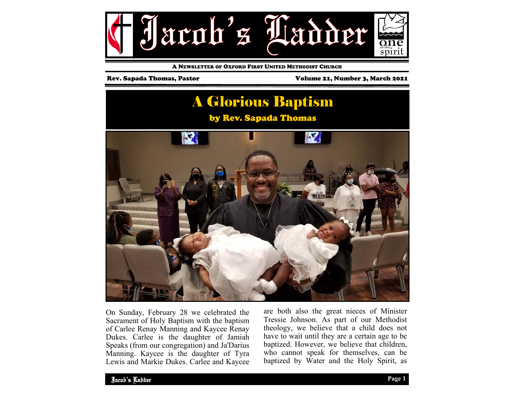

A NEWSLETTER OF OXFORD FIRST UNITED METHODIST CHURCH

Rev. Sapada Thomas, Pastor Volume 21, Number 3, March 2021



On Sunday, February 28 we celebrated the Sacrament of Holy Baptism with the baptism of Carlee Renay Manning and Kaycee Renay Dukes. Carlee is the daughter of Jamiah Speaks (from our congregation) and Ja'Darius Manning. Kaycee is the daughter of Tyra Lewis and Markie Dukes. Carlee and Kaycee

are both also the great nieces of Minister Tressie Johnson. As part of our Methodist theology, we believe that a child does not have to wait until they are a certain age to be baptized. However, we believe that children, who cannot speak for themselves, can be baptized by Water and the Holy Spirit, as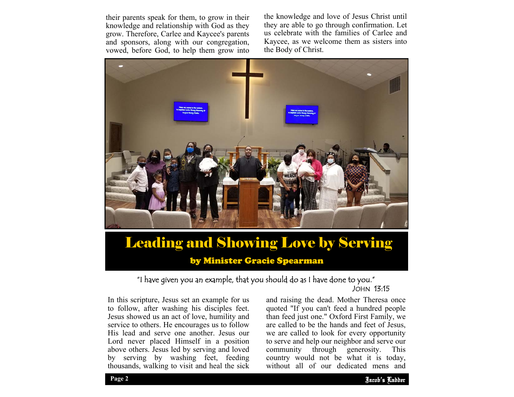their parents speak for them, to grow in their knowledge and relationship with God as they grow. Therefore, Carlee and Kaycee's parents and sponsors, along with our congregation, vowed, before God, to help them grow into

the knowledge and love of Jesus Christ until they are able to go through confirmation. Let us celebrate with the families of Carlee and Kaycee, as we welcome them as sisters into the Body of Christ.



# Leading and Showing Love by Serving

by Minister Gracie Spearman

### "I have given you an example, that you should do as I have done to you." JOHN 13:15

In this scripture, Jesus set an example for us to follow, after washing his disciples feet. Jesus showed us an act of love, humility and service to others. He encourages us to follow His lead and serve one another. Jesus our Lord never placed Himself in a position above others. Jesus led by serving and loved by serving by washing feet, feeding thousands, walking to visit and heal the sick

to serve and help our neighbor and serve our and raising the dead. Mother Theresa once quoted "If you can't feed a hundred people than feed just one." Oxford First Family, we are called to be the hands and feet of Jesus, we are called to look for every opportunity community through generosity. This country would not be what it is today, without all of our dedicated mens and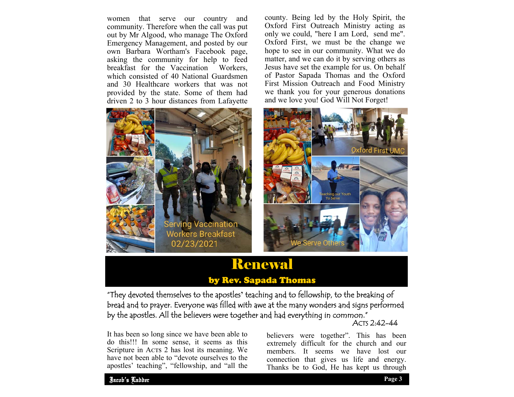women that serve our country and community. Therefore when the call was put out by Mr Algood, who manage The Oxford Emergency Management, and posted by our own Barbara Wortham's Facebook page, asking the community for help to feed breakfast for the Vaccination Workers, which consisted of 40 National Guardsmen and 30 Healthcare workers that was not provided by the state. Some of them had driven 2 to 3 hour distances from Lafayette



county. Being led by the Holy Spirit, the Oxford First Outreach Ministry acting as only we could, "here I am Lord, send me". Oxford First, we must be the change we hope to see in our community. What we do matter, and we can do it by serving others as Jesus have set the example for us. On behalf of Pastor Sapada Thomas and the Oxford First Mission Outreach and Food Ministry we thank you for your generous donations and we love you! God Will Not Forget!



## Renewal

### by Rev. Sapada Thomas

ACTS 2:42-44 "They devoted themselves to the apostles**'** teaching and to fellowship, to the breaking of bread and to prayer. Everyone was filled with awe at the many wonders and signs performed by the apostles. All the believers were together and had everything in common."

It has been so long since we have been able to do this!!! In some sense, it seems as this Scripture in Acts 2 has lost its meaning. We have not been able to "devote ourselves to the apostles' teaching", "fellowship, and "all the

believers were together". This has been extremely difficult for the church and our members. It seems we have lost our connection that gives us life and energy. Thanks be to God, He has kept us through